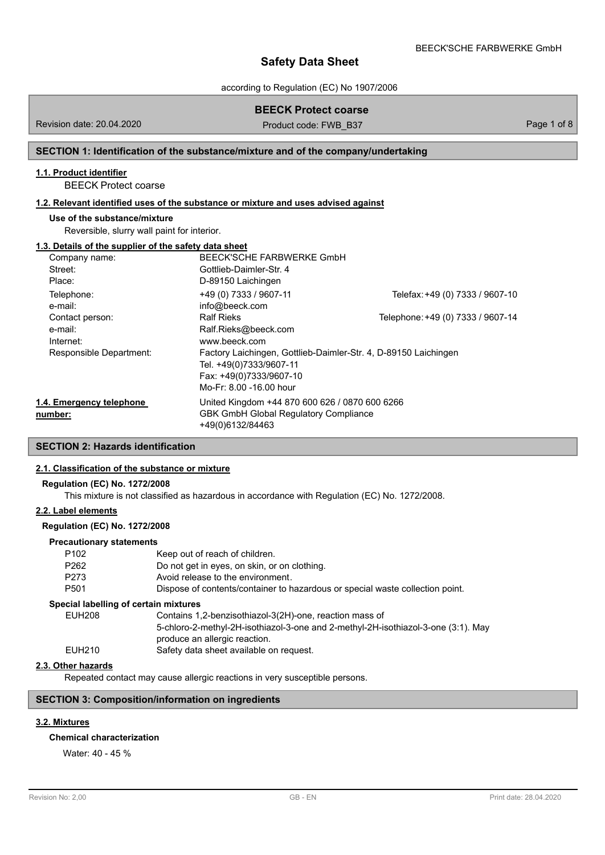according to Regulation (EC) No 1907/2006

# **BEECK Protect coarse**

Revision date: 20.04.2020

Product code: FWB\_B37 Page 1 of 8

### **SECTION 1: Identification of the substance/mixture and of the company/undertaking**

### **1.1. Product identifier**

BEECK Protect coarse

## **1.2. Relevant identified uses of the substance or mixture and uses advised against**

#### **Use of the substance/mixture**

Reversible, slurry wall paint for interior.

#### **1.3. Details of the supplier of the safety data sheet**

| Company name:            | BEECK'SCHE FARBWERKE GmbH                                       |                                   |
|--------------------------|-----------------------------------------------------------------|-----------------------------------|
| Street:                  | Gottlieb-Daimler-Str. 4                                         |                                   |
| Place:                   | D-89150 Laichingen                                              |                                   |
| Telephone:               | +49 (0) 7333 / 9607-11                                          | Telefax: +49 (0) 7333 / 9607-10   |
| e-mail:                  | info@beeck.com                                                  |                                   |
| Contact person:          | <b>Ralf Rieks</b>                                               | Telephone: +49 (0) 7333 / 9607-14 |
| e-mail:                  | Ralf.Rieks@beeck.com                                            |                                   |
| Internet:                | www.beeck.com                                                   |                                   |
| Responsible Department:  | Factory Laichingen, Gottlieb-Daimler-Str. 4, D-89150 Laichingen |                                   |
|                          | Tel. +49(0)7333/9607-11                                         |                                   |
|                          | Fax: +49(0)7333/9607-10                                         |                                   |
|                          | Mo-Fr: 8.00 -16.00 hour                                         |                                   |
| 1.4. Emergency telephone | United Kingdom +44 870 600 626 / 0870 600 6266                  |                                   |
| number:                  | <b>GBK GmbH Global Requlatory Compliance</b>                    |                                   |
|                          | +49(0)6132/84463                                                |                                   |

## **SECTION 2: Hazards identification**

## **2.1. Classification of the substance or mixture**

### **Regulation (EC) No. 1272/2008**

This mixture is not classified as hazardous in accordance with Regulation (EC) No. 1272/2008.

## **2.2. Label elements**

### **Regulation (EC) No. 1272/2008**

#### **Precautionary statements**

| P <sub>102</sub>                      | Keep out of reach of children.                                                    |
|---------------------------------------|-----------------------------------------------------------------------------------|
| P <sub>262</sub>                      | Do not get in eyes, on skin, or on clothing.                                      |
| P273                                  | Avoid release to the environment.                                                 |
| P <sub>501</sub>                      | Dispose of contents/container to hazardous or special waste collection point.     |
| Special labelling of certain mixtures |                                                                                   |
| <b>EUH208</b>                         | Contains 1,2-benzisothiazol-3(2H)-one, reaction mass of                           |
|                                       | 5-chloro-2-methyl-2H-isothiazol-3-one and 2-methyl-2H-isothiazol-3-one (3:1). May |
|                                       | produce an allergic reaction.                                                     |
| EUH210                                | Safety data sheet available on request.                                           |
|                                       |                                                                                   |

## **2.3. Other hazards**

Repeated contact may cause allergic reactions in very susceptible persons.

## **SECTION 3: Composition/information on ingredients**

## **3.2. Mixtures**

#### **Chemical characterization**

Water: 40 - 45 %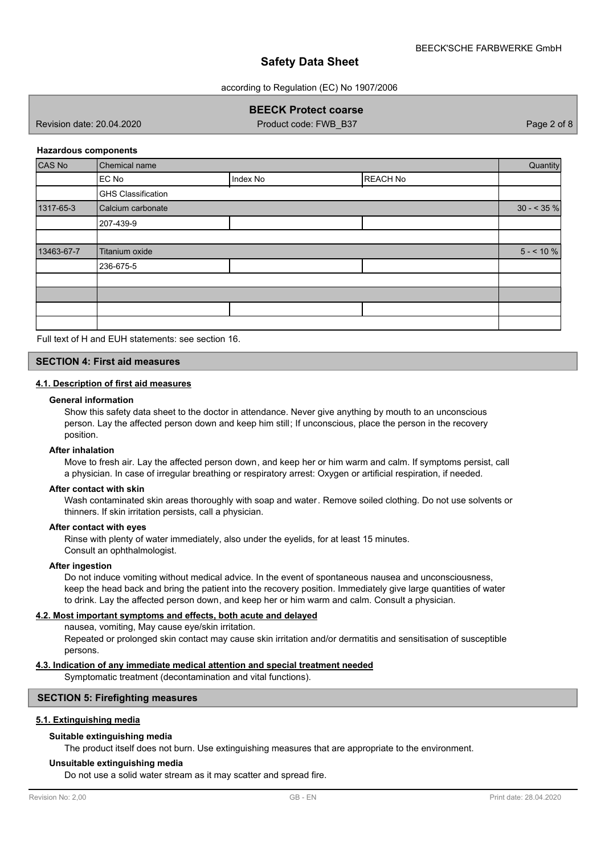according to Regulation (EC) No 1907/2006

## **BEECK Protect coarse**

Revision date: 20.04.2020

Product code: FWB\_B37 Page 2 of 8

#### **Hazardous components**

| CAS No     | <b>Chemical name</b>      |          |                 | Quantity    |
|------------|---------------------------|----------|-----------------|-------------|
|            | EC No                     | Index No | <b>REACH No</b> |             |
|            | <b>GHS Classification</b> |          |                 |             |
| 1317-65-3  | Calcium carbonate         |          |                 | $30 - 35\%$ |
|            | 207-439-9                 |          |                 |             |
|            |                           |          |                 |             |
| 13463-67-7 | Titanium oxide            |          |                 | $5 - 10 \%$ |
|            | 236-675-5                 |          |                 |             |
|            |                           |          |                 |             |
|            |                           |          |                 |             |
|            |                           |          |                 |             |
|            |                           |          |                 |             |

Full text of H and EUH statements: see section 16.

## **SECTION 4: First aid measures**

#### **4.1. Description of first aid measures**

#### **General information**

Show this safety data sheet to the doctor in attendance. Never give anything by mouth to an unconscious person. Lay the affected person down and keep him still; If unconscious, place the person in the recovery position.

#### **After inhalation**

Move to fresh air. Lay the affected person down, and keep her or him warm and calm. If symptoms persist, call a physician. In case of irregular breathing or respiratory arrest: Oxygen or artificial respiration, if needed.

### **After contact with skin**

Wash contaminated skin areas thoroughly with soap and water. Remove soiled clothing. Do not use solvents or thinners. If skin irritation persists, call a physician.

#### **After contact with eyes**

Rinse with plenty of water immediately, also under the eyelids, for at least 15 minutes. Consult an ophthalmologist.

#### **After ingestion**

Do not induce vomiting without medical advice. In the event of spontaneous nausea and unconsciousness, keep the head back and bring the patient into the recovery position. Immediately give large quantities of water to drink. Lay the affected person down, and keep her or him warm and calm. Consult a physician.

#### **4.2. Most important symptoms and effects, both acute and delayed**

nausea, vomiting, May cause eye/skin irritation.

Repeated or prolonged skin contact may cause skin irritation and/or dermatitis and sensitisation of susceptible persons.

### **4.3. Indication of any immediate medical attention and special treatment needed**

Symptomatic treatment (decontamination and vital functions).

### **SECTION 5: Firefighting measures**

### **5.1. Extinguishing media**

### **Suitable extinguishing media**

The product itself does not burn. Use extinguishing measures that are appropriate to the environment.

#### **Unsuitable extinguishing media**

Do not use a solid water stream as it may scatter and spread fire.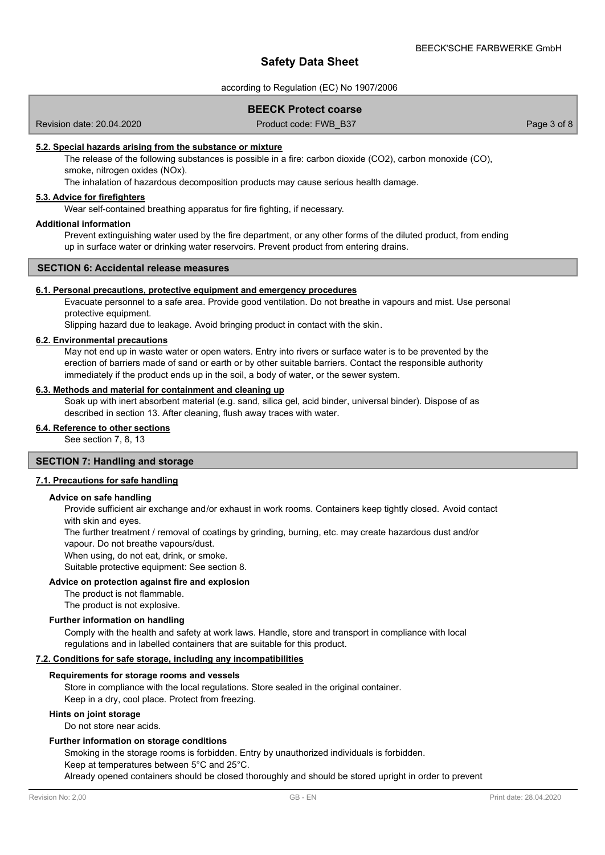#### according to Regulation (EC) No 1907/2006

### **BEECK Protect coarse**

Revision date: 20.04.2020

Product code: FWB\_B37 Page 3 of 8

#### **5.2. Special hazards arising from the substance or mixture**

The release of the following substances is possible in a fire: carbon dioxide (CO2), carbon monoxide (CO), smoke, nitrogen oxides (NOx).

The inhalation of hazardous decomposition products may cause serious health damage.

## **5.3. Advice for firefighters**

Wear self-contained breathing apparatus for fire fighting, if necessary.

### **Additional information**

Prevent extinguishing water used by the fire department, or any other forms of the diluted product, from ending up in surface water or drinking water reservoirs. Prevent product from entering drains.

### **SECTION 6: Accidental release measures**

#### **6.1. Personal precautions, protective equipment and emergency procedures**

Evacuate personnel to a safe area. Provide good ventilation. Do not breathe in vapours and mist. Use personal protective equipment.

Slipping hazard due to leakage. Avoid bringing product in contact with the skin.

### **6.2. Environmental precautions**

May not end up in waste water or open waters. Entry into rivers or surface water is to be prevented by the erection of barriers made of sand or earth or by other suitable barriers. Contact the responsible authority immediately if the product ends up in the soil, a body of water, or the sewer system.

## **6.3. Methods and material for containment and cleaning up**

Soak up with inert absorbent material (e.g. sand, silica gel, acid binder, universal binder). Dispose of as described in section 13. After cleaning, flush away traces with water.

## **6.4. Reference to other sections**

See section 7, 8, 13

## **SECTION 7: Handling and storage**

#### **7.1. Precautions for safe handling**

#### **Advice on safe handling**

Provide sufficient air exchange and/or exhaust in work rooms. Containers keep tightly closed. Avoid contact with skin and eyes.

The further treatment / removal of coatings by grinding, burning, etc. may create hazardous dust and/or vapour. Do not breathe vapours/dust.

When using, do not eat, drink, or smoke.

Suitable protective equipment: See section 8.

#### **Advice on protection against fire and explosion**

The product is not flammable.

The product is not explosive.

### **Further information on handling**

Comply with the health and safety at work laws. Handle, store and transport in compliance with local regulations and in labelled containers that are suitable for this product.

#### **7.2. Conditions for safe storage, including any incompatibilities**

#### **Requirements for storage rooms and vessels**

Store in compliance with the local regulations. Store sealed in the original container. Keep in a dry, cool place. Protect from freezing.

#### **Hints on joint storage**

Do not store near acids.

#### **Further information on storage conditions**

Smoking in the storage rooms is forbidden. Entry by unauthorized individuals is forbidden.

Keep at temperatures between 5°C and 25°C.

Already opened containers should be closed thoroughly and should be stored upright in order to prevent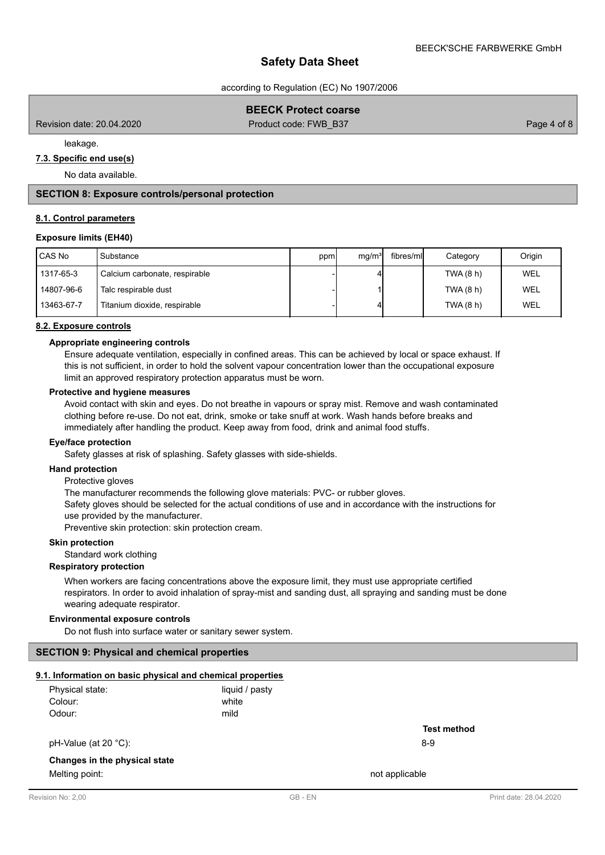according to Regulation (EC) No 1907/2006

## **BEECK Protect coarse**

Revision date: 20.04.2020 **Product code: FWB\_B37** Page 4 of 8

leakage.

## **7.3. Specific end use(s)**

No data available.

### **SECTION 8: Exposure controls/personal protection**

#### **8.1. Control parameters**

### **Exposure limits (EH40)**

| CAS No     | Substance                     | ppm | mq/m <sup>3</sup> | fibres/mll | Category  | Origin     |
|------------|-------------------------------|-----|-------------------|------------|-----------|------------|
| 1317-65-3  | Calcium carbonate, respirable |     |                   |            | TWA (8 h) | <b>WEL</b> |
| 14807-96-6 | Talc respirable dust          |     |                   |            | TWA (8 h) | WEL        |
| 13463-67-7 | Titanium dioxide, respirable  |     |                   |            | TWA (8 h) | WEL        |

#### **8.2. Exposure controls**

#### **Appropriate engineering controls**

Ensure adequate ventilation, especially in confined areas. This can be achieved by local or space exhaust. If this is not sufficient, in order to hold the solvent vapour concentration lower than the occupational exposure limit an approved respiratory protection apparatus must be worn.

#### **Protective and hygiene measures**

Avoid contact with skin and eyes. Do not breathe in vapours or spray mist. Remove and wash contaminated clothing before re-use. Do not eat, drink, smoke or take snuff at work. Wash hands before breaks and immediately after handling the product. Keep away from food, drink and animal food stuffs.

#### **Eye/face protection**

Safety glasses at risk of splashing. Safety glasses with side-shields.

#### **Hand protection**

Protective gloves

The manufacturer recommends the following glove materials: PVC- or rubber gloves.

Safety gloves should be selected for the actual conditions of use and in accordance with the instructions for use provided by the manufacturer.

Preventive skin protection: skin protection cream.

## **Skin protection**

Standard work clothing

#### **Respiratory protection**

When workers are facing concentrations above the exposure limit, they must use appropriate certified respirators. In order to avoid inhalation of spray-mist and sanding dust, all spraying and sanding must be done wearing adequate respirator.

#### **Environmental exposure controls**

Do not flush into surface water or sanitary sewer system.

### **SECTION 9: Physical and chemical properties**

## **9.1. Information on basic physical and chemical properties**

| Physical state: | liquid / pasty |
|-----------------|----------------|
| Colour:         | white          |
| Odour:          | mild           |

pH-Value (at 20 °C): 8-9

## **Changes in the physical state**

Melting point: not applicable that the matrix of the matrix  $\sim$  not applicable

**Test method**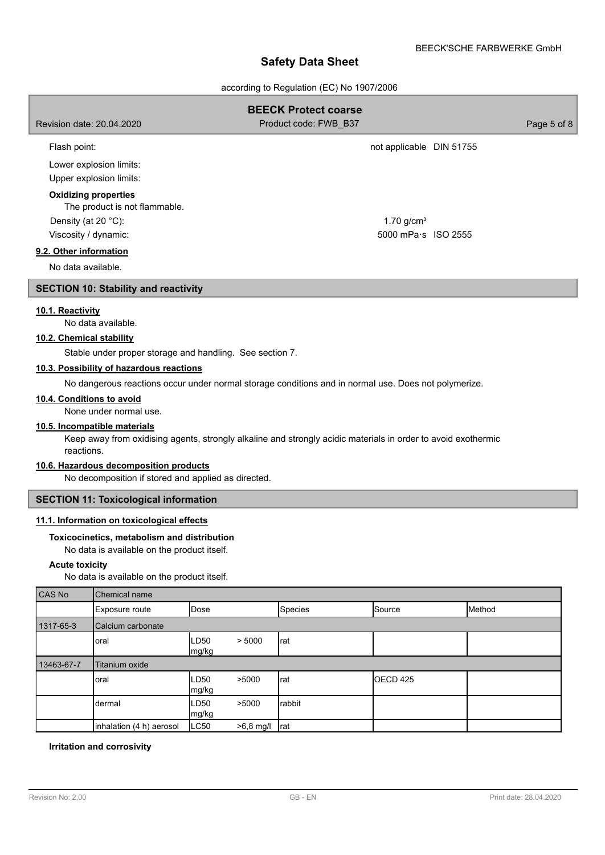| Safety Data Sheet                                                    |                                                          |      |                                                                                                               |                          |             |  |  |
|----------------------------------------------------------------------|----------------------------------------------------------|------|---------------------------------------------------------------------------------------------------------------|--------------------------|-------------|--|--|
|                                                                      |                                                          |      | according to Regulation (EC) No 1907/2006                                                                     |                          |             |  |  |
| <b>BEECK Protect coarse</b>                                          |                                                          |      |                                                                                                               |                          |             |  |  |
| Revision date: 20.04.2020                                            |                                                          |      | Product code: FWB_B37                                                                                         |                          | Page 5 of 8 |  |  |
| Flash point:                                                         |                                                          |      |                                                                                                               | not applicable DIN 51755 |             |  |  |
|                                                                      | Lower explosion limits:                                  |      |                                                                                                               |                          |             |  |  |
|                                                                      | Upper explosion limits:                                  |      |                                                                                                               |                          |             |  |  |
|                                                                      | <b>Oxidizing properties</b>                              |      |                                                                                                               |                          |             |  |  |
|                                                                      | The product is not flammable.                            |      |                                                                                                               |                          |             |  |  |
| Density (at 20 °C):                                                  |                                                          |      |                                                                                                               | $1.70$ g/cm <sup>3</sup> |             |  |  |
| Viscosity / dynamic:                                                 |                                                          |      |                                                                                                               | 5000 mPa s ISO 2555      |             |  |  |
| 9.2. Other information                                               |                                                          |      |                                                                                                               |                          |             |  |  |
| No data available.                                                   |                                                          |      |                                                                                                               |                          |             |  |  |
|                                                                      | <b>SECTION 10: Stability and reactivity</b>              |      |                                                                                                               |                          |             |  |  |
| 10.1. Reactivity                                                     |                                                          |      |                                                                                                               |                          |             |  |  |
|                                                                      | No data available.                                       |      |                                                                                                               |                          |             |  |  |
| 10.2. Chemical stability                                             |                                                          |      |                                                                                                               |                          |             |  |  |
|                                                                      | Stable under proper storage and handling. See section 7. |      |                                                                                                               |                          |             |  |  |
|                                                                      | 10.3. Possibility of hazardous reactions                 |      |                                                                                                               |                          |             |  |  |
|                                                                      |                                                          |      | No dangerous reactions occur under normal storage conditions and in normal use. Does not polymerize.          |                          |             |  |  |
| 10.4. Conditions to avoid                                            | None under normal use.                                   |      |                                                                                                               |                          |             |  |  |
| 10.5. Incompatible materials                                         |                                                          |      |                                                                                                               |                          |             |  |  |
| reactions.                                                           |                                                          |      | Keep away from oxidising agents, strongly alkaline and strongly acidic materials in order to avoid exothermic |                          |             |  |  |
|                                                                      | 10.6. Hazardous decomposition products                   |      |                                                                                                               |                          |             |  |  |
| No decomposition if stored and applied as directed.                  |                                                          |      |                                                                                                               |                          |             |  |  |
| <b>SECTION 11: Toxicological information</b>                         |                                                          |      |                                                                                                               |                          |             |  |  |
| 11.1. Information on toxicological effects                           |                                                          |      |                                                                                                               |                          |             |  |  |
|                                                                      | Toxicocinetics, metabolism and distribution              |      |                                                                                                               |                          |             |  |  |
|                                                                      | No data is available on the product itself.              |      |                                                                                                               |                          |             |  |  |
| <b>Acute toxicity</b><br>No data is available on the product itself. |                                                          |      |                                                                                                               |                          |             |  |  |
| CAS No                                                               | Chemical name                                            |      |                                                                                                               |                          |             |  |  |
|                                                                      | Exposure route                                           | Dose | Species                                                                                                       | Source                   | Method      |  |  |

|            | Exposure route           | i Dose         |           | popecies | <b>POOLICE</b> | <b>IIVIEUIOG</b> |  |
|------------|--------------------------|----------------|-----------|----------|----------------|------------------|--|
| 1317-65-3  | Calcium carbonate        |                |           |          |                |                  |  |
|            | oral                     | LD50<br>mg/kg  | > 5000    | rat      |                |                  |  |
| 13463-67-7 | Titanium oxide           |                |           |          |                |                  |  |
|            | oral                     | LD50<br> mg/kg | >5000     | rat      | OECD 425       |                  |  |
|            | dermal                   | LD50<br>mg/kg  | >5000     | rabbit   |                |                  |  |
|            | inhalation (4 h) aerosol | LC50           | >6,8 mg/l | rat      |                |                  |  |

## **Irritation and corrosivity**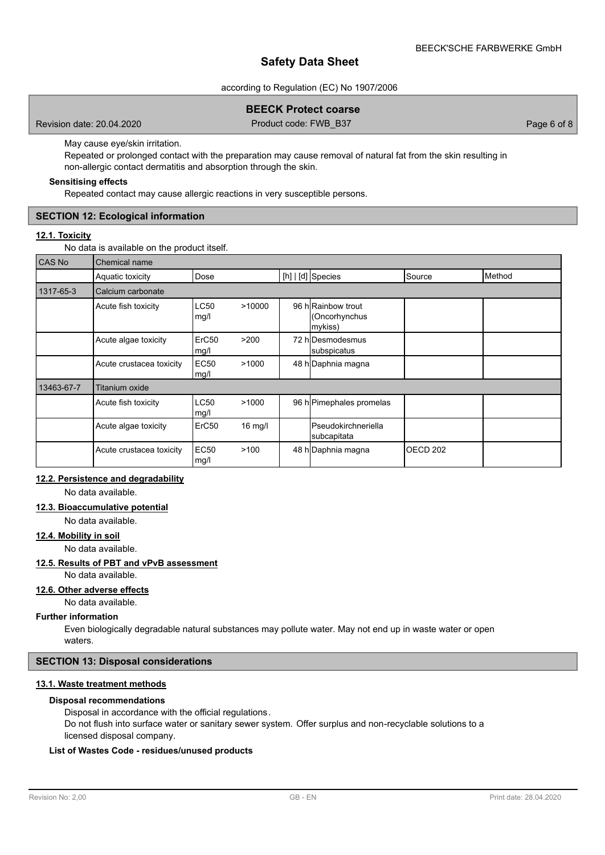#### according to Regulation (EC) No 1907/2006

## **BEECK Protect coarse**

Revision date: 20.04.2020 Product code: FWB\_B37 Page 6 of 8

May cause eye/skin irritation.

Repeated or prolonged contact with the preparation may cause removal of natural fat from the skin resulting in non-allergic contact dermatitis and absorption through the skin.

### **Sensitising effects**

Repeated contact may cause allergic reactions in very susceptible persons.

### **SECTION 12: Ecological information**

## **12.1. Toxicity**

No data is available on the product itself.

| <b>CAS No</b> | Chemical name            |                           |           |  |                                                |                     |        |  |
|---------------|--------------------------|---------------------------|-----------|--|------------------------------------------------|---------------------|--------|--|
|               | Aquatic toxicity         | Dose                      |           |  | [h]   [d] Species                              | Source              | Method |  |
| 1317-65-3     | Calcium carbonate        |                           |           |  |                                                |                     |        |  |
|               | Acute fish toxicity      | LC50<br>mg/l              | >10000    |  | 96 h Rainbow trout<br>(Oncorhynchus<br>mykiss) |                     |        |  |
|               | Acute algae toxicity     | ErC <sub>50</sub><br>mg/l | >200      |  | 72 hIDesmodesmus<br>subspicatus                |                     |        |  |
|               | Acute crustacea toxicity | <b>EC50</b><br>mg/l       | >1000     |  | 48 h Daphnia magna                             |                     |        |  |
| 13463-67-7    | <b>Titanium oxide</b>    |                           |           |  |                                                |                     |        |  |
|               | Acute fish toxicity      | <b>LC50</b><br>mg/l       | >1000     |  | 96 h Pimephales promelas                       |                     |        |  |
|               | Acute algae toxicity     | ErC <sub>50</sub>         | $16$ mg/l |  | <b>I</b> Pseudokirchneriella<br>subcapitata    |                     |        |  |
|               | Acute crustacea toxicity | <b>EC50</b><br>mg/l       | >100      |  | 48 h Daphnia magna                             | OECD <sub>202</sub> |        |  |

## **12.2. Persistence and degradability**

No data available.

#### **12.3. Bioaccumulative potential**

No data available.

### **12.4. Mobility in soil**

No data available.

#### **12.5. Results of PBT and vPvB assessment**

No data available.

## **12.6. Other adverse effects**

No data available.

#### **Further information**

Even biologically degradable natural substances may pollute water. May not end up in waste water or open waters.

### **SECTION 13: Disposal considerations**

## **13.1. Waste treatment methods**

## **Disposal recommendations**

Disposal in accordance with the official regulations.

Do not flush into surface water or sanitary sewer system. Offer surplus and non-recyclable solutions to a licensed disposal company.

## **List of Wastes Code - residues/unused products**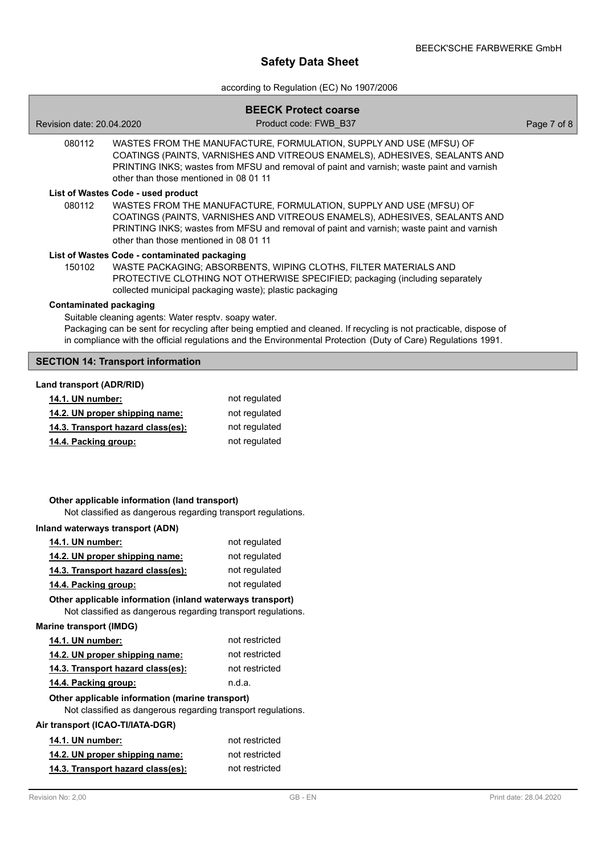# according to Regulation (EC) No 1907/2006

| Revision date: 20.04.2020        |                                                                                                                           | <b>BEECK Protect coarse</b><br>Product code: FWB B37                                                                                                                                                                                          | Page 7 of 8 |
|----------------------------------|---------------------------------------------------------------------------------------------------------------------------|-----------------------------------------------------------------------------------------------------------------------------------------------------------------------------------------------------------------------------------------------|-------------|
| 080112                           | other than those mentioned in 08 01 11                                                                                    | WASTES FROM THE MANUFACTURE, FORMULATION, SUPPLY AND USE (MFSU) OF<br>COATINGS (PAINTS, VARNISHES AND VITREOUS ENAMELS), ADHESIVES, SEALANTS AND<br>PRINTING INKS; wastes from MFSU and removal of paint and varnish; waste paint and varnish |             |
| 080112                           | List of Wastes Code - used product<br>other than those mentioned in 08 01 11                                              | WASTES FROM THE MANUFACTURE, FORMULATION, SUPPLY AND USE (MFSU) OF<br>COATINGS (PAINTS, VARNISHES AND VITREOUS ENAMELS), ADHESIVES, SEALANTS AND<br>PRINTING INKS; wastes from MFSU and removal of paint and varnish; waste paint and varnish |             |
| 150102                           | List of Wastes Code - contaminated packaging                                                                              | WASTE PACKAGING; ABSORBENTS, WIPING CLOTHS, FILTER MATERIALS AND<br>PROTECTIVE CLOTHING NOT OTHERWISE SPECIFIED; packaging (including separately<br>collected municipal packaging waste); plastic packaging                                   |             |
| <b>Contaminated packaging</b>    | Suitable cleaning agents: Water resptv. soapy water.                                                                      | Packaging can be sent for recycling after being emptied and cleaned. If recycling is not practicable, dispose of<br>in compliance with the official regulations and the Environmental Protection (Duty of Care) Regulations 1991.             |             |
|                                  | <b>SECTION 14: Transport information</b>                                                                                  |                                                                                                                                                                                                                                               |             |
| Land transport (ADR/RID)         |                                                                                                                           |                                                                                                                                                                                                                                               |             |
| 14.1. UN number:                 |                                                                                                                           | not regulated                                                                                                                                                                                                                                 |             |
|                                  | 14.2. UN proper shipping name:                                                                                            | not regulated                                                                                                                                                                                                                                 |             |
|                                  | 14.3. Transport hazard class(es):                                                                                         | not regulated                                                                                                                                                                                                                                 |             |
| 14.4. Packing group:             |                                                                                                                           | not regulated                                                                                                                                                                                                                                 |             |
|                                  | Other applicable information (land transport)<br>Not classified as dangerous regarding transport regulations.             |                                                                                                                                                                                                                                               |             |
| Inland waterways transport (ADN) |                                                                                                                           |                                                                                                                                                                                                                                               |             |
| 14.1. UN number:                 |                                                                                                                           | not regulated                                                                                                                                                                                                                                 |             |
|                                  | 14.2. UN proper shipping name:                                                                                            | not regulated                                                                                                                                                                                                                                 |             |
|                                  | 14.3. Transport hazard class(es):                                                                                         | not regulated                                                                                                                                                                                                                                 |             |
| 14.4. Packing group:             |                                                                                                                           | not regulated                                                                                                                                                                                                                                 |             |
|                                  | Other applicable information (inland waterways transport)<br>Not classified as dangerous regarding transport regulations. |                                                                                                                                                                                                                                               |             |
| <b>Marine transport (IMDG)</b>   |                                                                                                                           |                                                                                                                                                                                                                                               |             |
| 14.1. UN number:                 |                                                                                                                           | not restricted                                                                                                                                                                                                                                |             |
|                                  | 14.2. UN proper shipping name:                                                                                            | not restricted                                                                                                                                                                                                                                |             |
|                                  | 14.3. Transport hazard class(es):                                                                                         | not restricted                                                                                                                                                                                                                                |             |
| 14.4. Packing group:             |                                                                                                                           | n.d.a.                                                                                                                                                                                                                                        |             |
|                                  | Other applicable information (marine transport)<br>Not classified as dangerous regarding transport regulations.           |                                                                                                                                                                                                                                               |             |
| Air transport (ICAO-TI/IATA-DGR) |                                                                                                                           |                                                                                                                                                                                                                                               |             |
| 14.1. UN number:                 |                                                                                                                           | not restricted                                                                                                                                                                                                                                |             |
|                                  | 14.2. UN proper shipping name:                                                                                            | not restricted                                                                                                                                                                                                                                |             |
|                                  | 14.3. Transport hazard class(es):                                                                                         | not restricted                                                                                                                                                                                                                                |             |